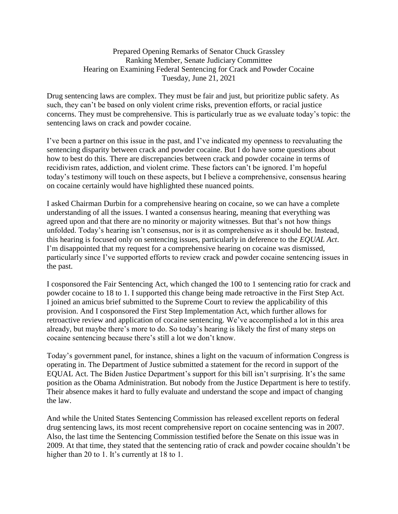## Prepared Opening Remarks of Senator Chuck Grassley Ranking Member, Senate Judiciary Committee Hearing on Examining Federal Sentencing for Crack and Powder Cocaine Tuesday, June 21, 2021

Drug sentencing laws are complex. They must be fair and just, but prioritize public safety. As such, they can't be based on only violent crime risks, prevention efforts, or racial justice concerns. They must be comprehensive. This is particularly true as we evaluate today's topic: the sentencing laws on crack and powder cocaine.

I've been a partner on this issue in the past, and I've indicated my openness to reevaluating the sentencing disparity between crack and powder cocaine. But I do have some questions about how to best do this. There are discrepancies between crack and powder cocaine in terms of recidivism rates, addiction, and violent crime. These factors can't be ignored. I'm hopeful today's testimony will touch on these aspects, but I believe a comprehensive, consensus hearing on cocaine certainly would have highlighted these nuanced points.

I asked Chairman Durbin for a comprehensive hearing on cocaine, so we can have a complete understanding of all the issues. I wanted a consensus hearing, meaning that everything was agreed upon and that there are no minority or majority witnesses. But that's not how things unfolded. Today's hearing isn't consensus, nor is it as comprehensive as it should be. Instead, this hearing is focused only on sentencing issues, particularly in deference to the *EQUAL Act*. I'm disappointed that my request for a comprehensive hearing on cocaine was dismissed, particularly since I've supported efforts to review crack and powder cocaine sentencing issues in the past.

I cosponsored the Fair Sentencing Act, which changed the 100 to 1 sentencing ratio for crack and powder cocaine to 18 to 1. I supported this change being made retroactive in the First Step Act. I joined an amicus brief submitted to the Supreme Court to review the applicability of this provision. And I cosponsored the First Step Implementation Act, which further allows for retroactive review and application of cocaine sentencing. We've accomplished a lot in this area already, but maybe there's more to do. So today's hearing is likely the first of many steps on cocaine sentencing because there's still a lot we don't know.

Today's government panel, for instance, shines a light on the vacuum of information Congress is operating in. The Department of Justice submitted a statement for the record in support of the EQUAL Act. The Biden Justice Department's support for this bill isn't surprising. It's the same position as the Obama Administration. But nobody from the Justice Department is here to testify. Their absence makes it hard to fully evaluate and understand the scope and impact of changing the law.

And while the United States Sentencing Commission has released excellent reports on federal drug sentencing laws, its most recent comprehensive report on cocaine sentencing was in 2007. Also, the last time the Sentencing Commission testified before the Senate on this issue was in 2009. At that time, they stated that the sentencing ratio of crack and powder cocaine shouldn't be higher than 20 to 1. It's currently at 18 to 1.